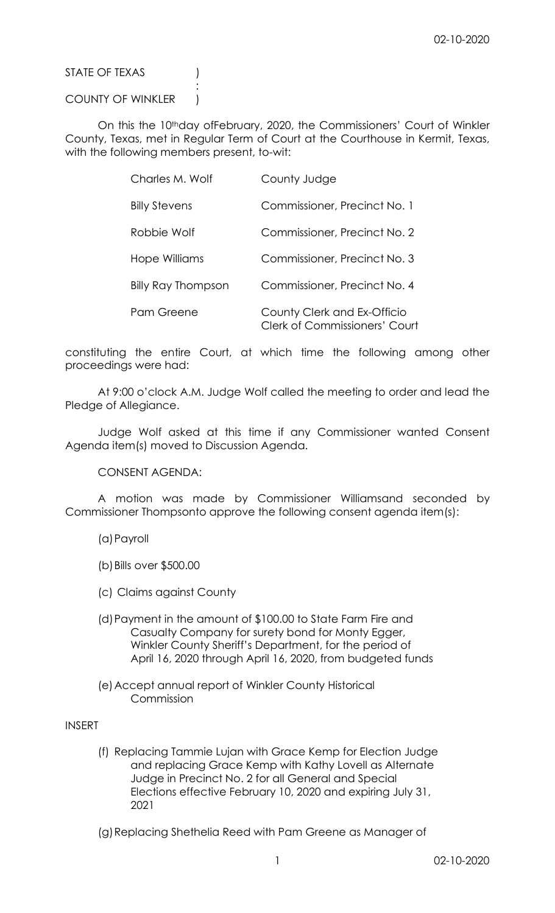STATE OF TEXAS (1)

### COUNTY OF WINKLER )

**Service State State State State** 

 On this the 10thday ofFebruary, 2020, the Commissioners' Court of Winkler County, Texas, met in Regular Term of Court at the Courthouse in Kermit, Texas, with the following members present, to-wit:

| Charles M. Wolf           | County Judge                                                        |
|---------------------------|---------------------------------------------------------------------|
| <b>Billy Stevens</b>      | Commissioner, Precinct No. 1                                        |
| Robbie Wolf               | Commissioner, Precinct No. 2                                        |
| Hope Williams             | Commissioner, Precinct No. 3                                        |
| <b>Billy Ray Thompson</b> | Commissioner, Precinct No. 4                                        |
| Pam Greene                | County Clerk and Ex-Officio<br><b>Clerk of Commissioners' Court</b> |

constituting the entire Court, at which time the following among other proceedings were had:

 At 9:00 o'clock A.M. Judge Wolf called the meeting to order and lead the Pledge of Allegiance.

 Judge Wolf asked at this time if any Commissioner wanted Consent Agenda item(s) moved to Discussion Agenda.

CONSENT AGENDA:

 A motion was made by Commissioner Williamsand seconded by Commissioner Thompsonto approve the following consent agenda item(s):

(a)Payroll

- (b)Bills over \$500.00
- (c) Claims against County
- (d)Payment in the amount of \$100.00 to State Farm Fire and Casualty Company for surety bond for Monty Egger, Winkler County Sheriff's Department, for the period of April 16, 2020 through April 16, 2020, from budgeted funds
- (e)Accept annual report of Winkler County Historical Commission

INSERT

(f) Replacing Tammie Lujan with Grace Kemp for Election Judge and replacing Grace Kemp with Kathy Lovell as Alternate Judge in Precinct No. 2 for all General and Special Elections effective February 10, 2020 and expiring July 31, 2021

(g)Replacing Shethelia Reed with Pam Greene as Manager of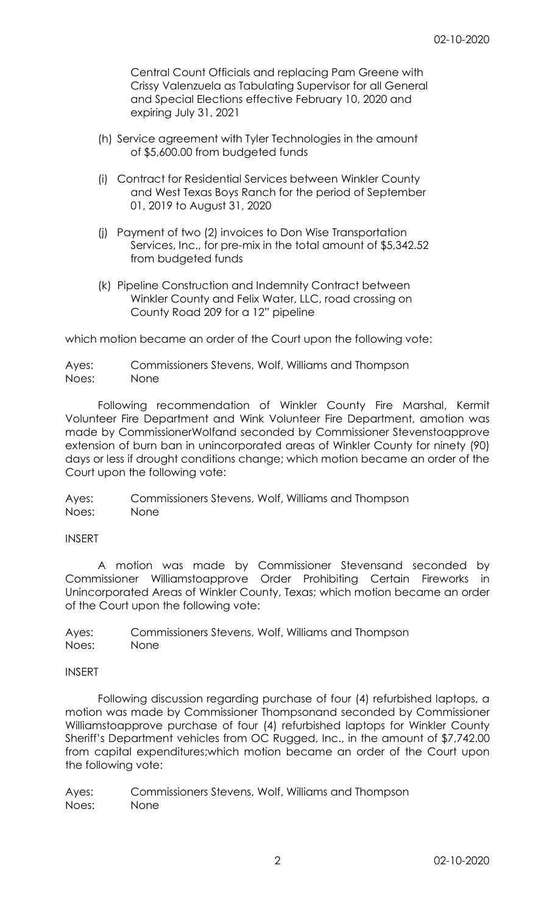Central Count Officials and replacing Pam Greene with Crissy Valenzuela as Tabulating Supervisor for all General and Special Elections effective February 10, 2020 and expiring July 31, 2021

- (h) Service agreement with Tyler Technologies in the amount of \$5,600.00 from budgeted funds
- (i) Contract for Residential Services between Winkler County and West Texas Boys Ranch for the period of September 01, 2019 to August 31, 2020
- (j) Payment of two (2) invoices to Don Wise Transportation Services, Inc., for pre-mix in the total amount of \$5,342.52 from budgeted funds
- (k) Pipeline Construction and Indemnity Contract between Winkler County and Felix Water, LLC, road crossing on County Road 209 for a 12" pipeline

which motion became an order of the Court upon the following vote:

Ayes: Commissioners Stevens, Wolf, Williams and Thompson Noes: None

 Following recommendation of Winkler County Fire Marshal, Kermit Volunteer Fire Department and Wink Volunteer Fire Department, amotion was made by CommissionerWolfand seconded by Commissioner Stevenstoapprove extension of burn ban in unincorporated areas of Winkler County for ninety (90) days or less if drought conditions change; which motion became an order of the Court upon the following vote:

Ayes: Commissioners Stevens, Wolf, Williams and Thompson Noes: None

INSERT

 A motion was made by Commissioner Stevensand seconded by Commissioner Williamstoapprove Order Prohibiting Certain Fireworks in Unincorporated Areas of Winkler County, Texas; which motion became an order of the Court upon the following vote:

Ayes: Commissioners Stevens, Wolf, Williams and Thompson Noes: None

#### INSERT

 Following discussion regarding purchase of four (4) refurbished laptops, a motion was made by Commissioner Thompsonand seconded by Commissioner Williamstoapprove purchase of four (4) refurbished laptops for Winkler County Sheriff's Department vehicles from OC Rugged, Inc., in the amount of \$7,742.00 from capital expenditures;which motion became an order of the Court upon the following vote:

Ayes: Commissioners Stevens, Wolf, Williams and Thompson Noes: None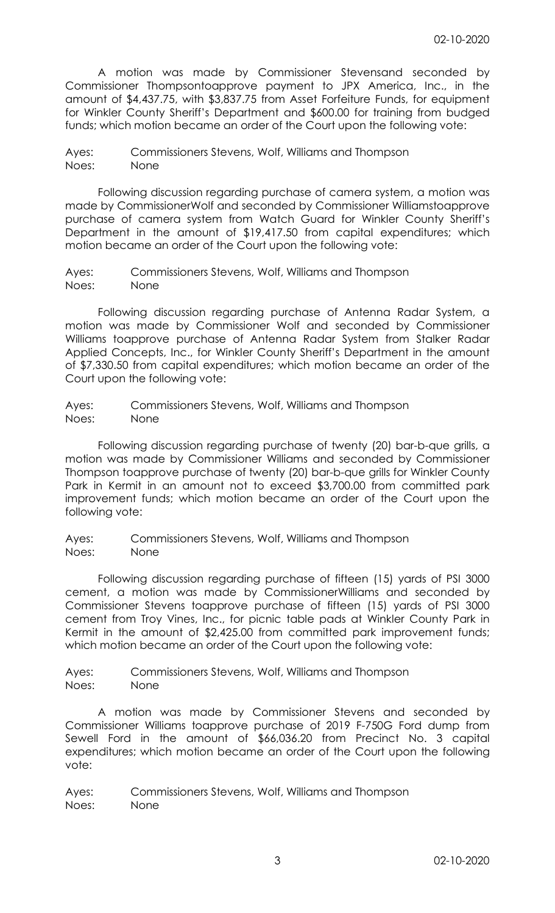A motion was made by Commissioner Stevensand seconded by Commissioner Thompsontoapprove payment to JPX America, Inc., in the amount of \$4,437.75, with \$3,837.75 from Asset Forfeiture Funds, for equipment for Winkler County Sheriff's Department and \$600.00 for training from budged funds; which motion became an order of the Court upon the following vote:

Ayes: Commissioners Stevens, Wolf, Williams and Thompson Noes: None

 Following discussion regarding purchase of camera system, a motion was made by CommissionerWolf and seconded by Commissioner Williamstoapprove purchase of camera system from Watch Guard for Winkler County Sheriff's Department in the amount of \$19,417.50 from capital expenditures; which motion became an order of the Court upon the following vote:

Ayes: Commissioners Stevens, Wolf, Williams and Thompson Noes: None

 Following discussion regarding purchase of Antenna Radar System, a motion was made by Commissioner Wolf and seconded by Commissioner Williams toapprove purchase of Antenna Radar System from Stalker Radar Applied Concepts, Inc., for Winkler County Sheriff's Department in the amount of \$7,330.50 from capital expenditures; which motion became an order of the Court upon the following vote:

Ayes: Commissioners Stevens, Wolf, Williams and Thompson Noes: None

 Following discussion regarding purchase of twenty (20) bar-b-que grills, a motion was made by Commissioner Williams and seconded by Commissioner Thompson toapprove purchase of twenty (20) bar-b-que grills for Winkler County Park in Kermit in an amount not to exceed \$3,700.00 from committed park improvement funds; which motion became an order of the Court upon the following vote:

Ayes: Commissioners Stevens, Wolf, Williams and Thompson Noes: None

 Following discussion regarding purchase of fifteen (15) yards of PSI 3000 cement, a motion was made by CommissionerWilliams and seconded by Commissioner Stevens toapprove purchase of fifteen (15) yards of PSI 3000 cement from Troy Vines, Inc., for picnic table pads at Winkler County Park in Kermit in the amount of \$2,425.00 from committed park improvement funds; which motion became an order of the Court upon the following vote:

Ayes: Commissioners Stevens, Wolf, Williams and Thompson Noes: None

 A motion was made by Commissioner Stevens and seconded by Commissioner Williams toapprove purchase of 2019 F-750G Ford dump from Sewell Ford in the amount of \$66,036.20 from Precinct No. 3 capital expenditures; which motion became an order of the Court upon the following vote:

Ayes: Commissioners Stevens, Wolf, Williams and Thompson Noes: None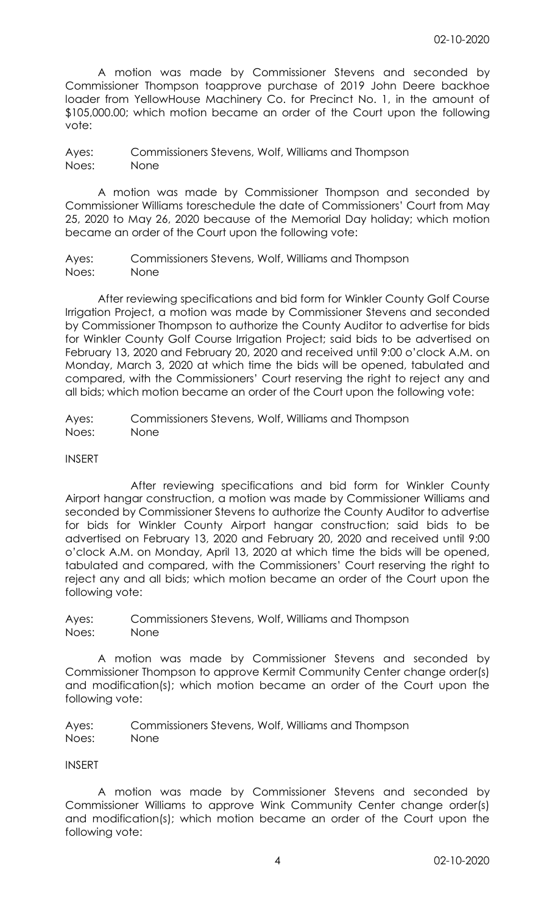A motion was made by Commissioner Stevens and seconded by Commissioner Thompson toapprove purchase of 2019 John Deere backhoe loader from YellowHouse Machinery Co. for Precinct No. 1, in the amount of \$105,000.00; which motion became an order of the Court upon the following vote:

Ayes: Commissioners Stevens, Wolf, Williams and Thompson Noes: None

 A motion was made by Commissioner Thompson and seconded by Commissioner Williams toreschedule the date of Commissioners' Court from May 25, 2020 to May 26, 2020 because of the Memorial Day holiday; which motion became an order of the Court upon the following vote:

Ayes: Commissioners Stevens, Wolf, Williams and Thompson Noes: None

After reviewing specifications and bid form for Winkler County Golf Course Irrigation Project, a motion was made by Commissioner Stevens and seconded by Commissioner Thompson to authorize the County Auditor to advertise for bids for Winkler County Golf Course Irrigation Project; said bids to be advertised on February 13, 2020 and February 20, 2020 and received until 9:00 o'clock A.M. on Monday, March 3, 2020 at which time the bids will be opened, tabulated and compared, with the Commissioners' Court reserving the right to reject any and all bids; which motion became an order of the Court upon the following vote:

Ayes: Commissioners Stevens, Wolf, Williams and Thompson Noes: None

### INSERT

 After reviewing specifications and bid form for Winkler County Airport hangar construction, a motion was made by Commissioner Williams and seconded by Commissioner Stevens to authorize the County Auditor to advertise for bids for Winkler County Airport hangar construction; said bids to be advertised on February 13, 2020 and February 20, 2020 and received until 9:00 o'clock A.M. on Monday, April 13, 2020 at which time the bids will be opened, tabulated and compared, with the Commissioners' Court reserving the right to reject any and all bids; which motion became an order of the Court upon the following vote:

Ayes: Commissioners Stevens, Wolf, Williams and Thompson Noes: None

 A motion was made by Commissioner Stevens and seconded by Commissioner Thompson to approve Kermit Community Center change order(s) and modification(s); which motion became an order of the Court upon the following vote:

Ayes: Commissioners Stevens, Wolf, Williams and Thompson Noes: None

# INSERT

 A motion was made by Commissioner Stevens and seconded by Commissioner Williams to approve Wink Community Center change order(s) and modification(s); which motion became an order of the Court upon the following vote: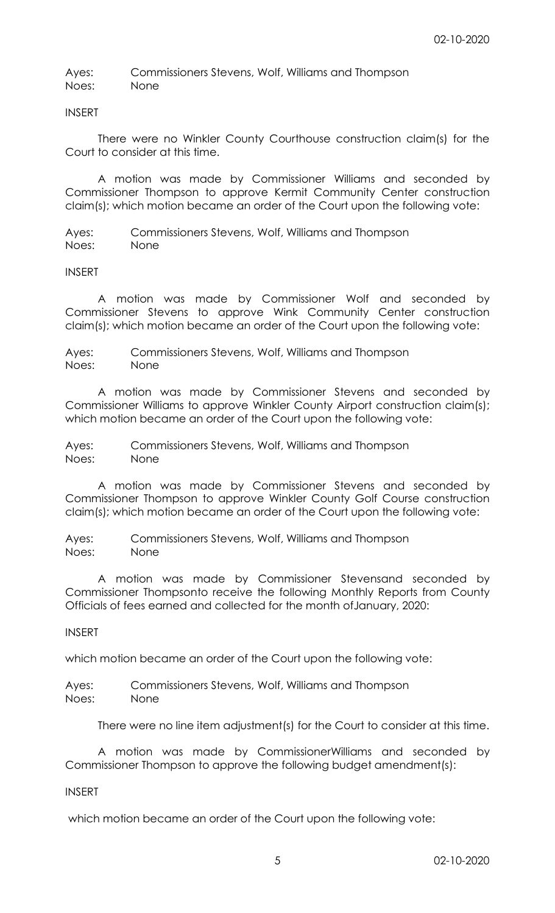Ayes: Commissioners Stevens, Wolf, Williams and Thompson Noes: None

### INSERT

 There were no Winkler County Courthouse construction claim(s) for the Court to consider at this time.

 A motion was made by Commissioner Williams and seconded by Commissioner Thompson to approve Kermit Community Center construction claim(s); which motion became an order of the Court upon the following vote:

Ayes: Commissioners Stevens, Wolf, Williams and Thompson Noes: None

INSERT

 A motion was made by Commissioner Wolf and seconded by Commissioner Stevens to approve Wink Community Center construction claim(s); which motion became an order of the Court upon the following vote:

Ayes: Commissioners Stevens, Wolf, Williams and Thompson Noes: None

 A motion was made by Commissioner Stevens and seconded by Commissioner Williams to approve Winkler County Airport construction claim(s); which motion became an order of the Court upon the following vote:

Ayes: Commissioners Stevens, Wolf, Williams and Thompson Noes: None

 A motion was made by Commissioner Stevens and seconded by Commissioner Thompson to approve Winkler County Golf Course construction claim(s); which motion became an order of the Court upon the following vote:

Ayes: Commissioners Stevens, Wolf, Williams and Thompson Noes: None

 A motion was made by Commissioner Stevensand seconded by Commissioner Thompsonto receive the following Monthly Reports from County Officials of fees earned and collected for the month ofJanuary, 2020:

INSERT

which motion became an order of the Court upon the following vote:

Ayes: Commissioners Stevens, Wolf, Williams and Thompson Noes: None

There were no line item adjustment(s) for the Court to consider at this time.

 A motion was made by CommissionerWilliams and seconded by Commissioner Thompson to approve the following budget amendment(s):

## INSERT

which motion became an order of the Court upon the following vote: